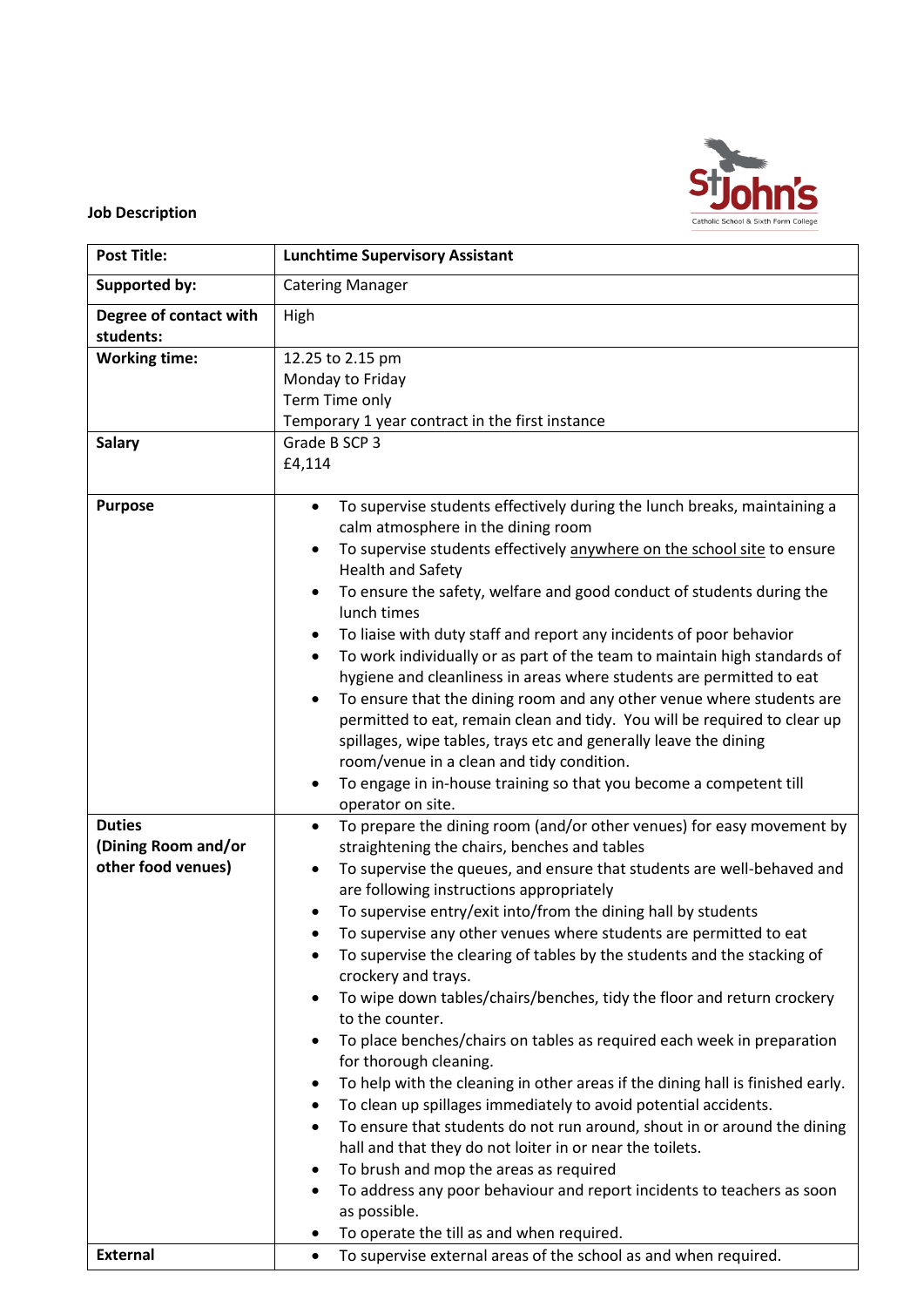

## **Job Description**